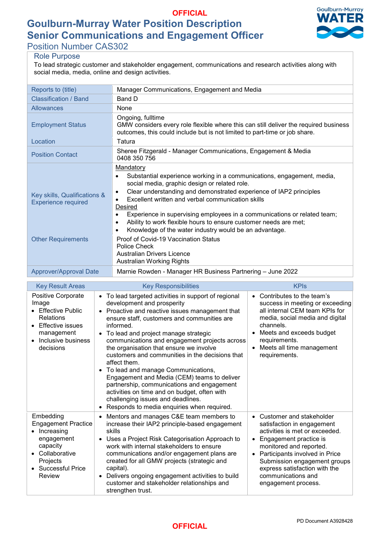# **Goulburn-Murray Water Position Description OFFICIAL Senior Communications and Engagement Officer**



Position Number CAS302

## Role Purpose

To lead strategic customer and stakeholder engagement, communications and research activities along with social media, media, online and design activities.

| Reports to (title)                                         | Manager Communications, Engagement and Media                                                                                                                                                                                                                                                                                                                                                                                                                                                                                                          |  |  |
|------------------------------------------------------------|-------------------------------------------------------------------------------------------------------------------------------------------------------------------------------------------------------------------------------------------------------------------------------------------------------------------------------------------------------------------------------------------------------------------------------------------------------------------------------------------------------------------------------------------------------|--|--|
| Classification / Band                                      | Band D                                                                                                                                                                                                                                                                                                                                                                                                                                                                                                                                                |  |  |
| <b>Allowances</b>                                          | None                                                                                                                                                                                                                                                                                                                                                                                                                                                                                                                                                  |  |  |
| <b>Employment Status</b>                                   | Ongoing, fulltime<br>GMW considers every role flexible where this can still deliver the required business<br>outcomes, this could include but is not limited to part-time or job share.                                                                                                                                                                                                                                                                                                                                                               |  |  |
| Location                                                   | Tatura                                                                                                                                                                                                                                                                                                                                                                                                                                                                                                                                                |  |  |
| <b>Position Contact</b>                                    | Sheree Fitzgerald - Manager Communications, Engagement & Media<br>0408 350 756                                                                                                                                                                                                                                                                                                                                                                                                                                                                        |  |  |
| Key skills, Qualifications &<br><b>Experience required</b> | Mandatory<br>Substantial experience working in a communications, engagement, media,<br>$\bullet$<br>social media, graphic design or related role.<br>Clear understanding and demonstrated experience of IAP2 principles<br>$\bullet$<br>Excellent written and verbal communication skills<br>$\bullet$<br>Desired<br>Experience in supervising employees in a communications or related team;<br>Ability to work flexible hours to ensure customer needs are met;<br>$\bullet$<br>Knowledge of the water industry would be an advantage.<br>$\bullet$ |  |  |
| <b>Other Requirements</b>                                  | Proof of Covid-19 Vaccination Status<br>Police Check<br>Australian Drivers Licence<br>Australian Working Rights                                                                                                                                                                                                                                                                                                                                                                                                                                       |  |  |
| Approver/Approval Date                                     | Marnie Rowden - Manager HR Business Partnering - June 2022                                                                                                                                                                                                                                                                                                                                                                                                                                                                                            |  |  |
|                                                            |                                                                                                                                                                                                                                                                                                                                                                                                                                                                                                                                                       |  |  |

| <b>Key Result Areas</b>                                                                                                                                  | <b>Key Responsibilities</b>                                                                                                                                                                                                                                                                                                                                                                                                                                                                                                                                                                                                                                                                                                                 | <b>KPIs</b>                                                                                                                                                                                                                                                                                   |
|----------------------------------------------------------------------------------------------------------------------------------------------------------|---------------------------------------------------------------------------------------------------------------------------------------------------------------------------------------------------------------------------------------------------------------------------------------------------------------------------------------------------------------------------------------------------------------------------------------------------------------------------------------------------------------------------------------------------------------------------------------------------------------------------------------------------------------------------------------------------------------------------------------------|-----------------------------------------------------------------------------------------------------------------------------------------------------------------------------------------------------------------------------------------------------------------------------------------------|
| Positive Corporate<br>Image<br>• Effective Public<br>Relations<br><b>Effective issues</b><br>management<br>Inclusive business<br>decisions               | To lead targeted activities in support of regional<br>$\bullet$<br>development and prosperity<br>Proactive and reactive issues management that<br>$\bullet$<br>ensure staff, customers and communities are<br>informed.<br>To lead and project manage strategic<br>$\bullet$<br>communications and engagement projects across<br>the organisation that ensure we involve<br>customers and communities in the decisions that<br>affect them.<br>To lead and manage Communications,<br>$\bullet$<br>Engagement and Media (CEM) teams to deliver<br>partnership, communications and engagement<br>activities on time and on budget, often with<br>challenging issues and deadlines.<br>Responds to media enquiries when required.<br>$\bullet$ | Contributes to the team's<br>$\bullet$<br>success in meeting or exceeding<br>all internal CEM team KPIs for<br>media, social media and digital<br>channels.<br>Meets and exceeds budget<br>requirements.<br>Meets all time management<br>requirements.                                        |
| Embedding<br><b>Engagement Practice</b><br>Increasing<br>engagement<br>capacity<br>Collaborative<br>Projects<br><b>Successful Price</b><br><b>Review</b> | Mentors and manages C&E team members to<br>$\bullet$<br>increase their IAP2 principle-based engagement<br>skills<br>Uses a Project Risk Categorisation Approach to<br>$\bullet$<br>work with internal stakeholders to ensure<br>communications and/or engagement plans are<br>created for all GMW projects (strategic and<br>capital).<br>Delivers ongoing engagement activities to build<br>$\bullet$<br>customer and stakeholder relationships and<br>strengthen trust.                                                                                                                                                                                                                                                                   | Customer and stakeholder<br>satisfaction in engagement<br>activities is met or exceeded.<br>Engagement practice is<br>monitored and reported.<br>Participants involved in Price<br>Submission engagement groups<br>express satisfaction with the<br>communications and<br>engagement process. |

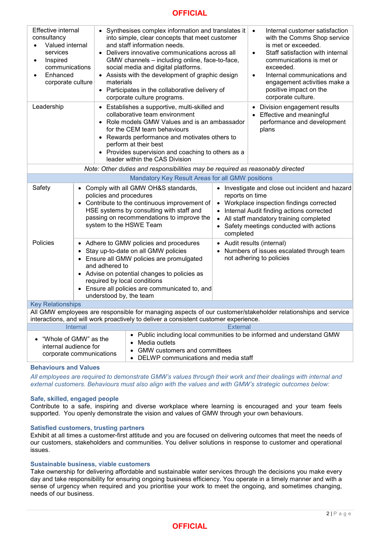## **OFFICIAL**

| <b>Effective internal</b><br>consultancy<br>Valued internal<br>$\bullet$<br>services<br>Inspired<br>$\bullet$<br>communications<br>Enhanced<br>corporate culture<br>materials                                                                        |  |                                           | Synthesises complex information and translates it<br>into simple, clear concepts that meet customer<br>and staff information needs.<br>Delivers innovative communications across all<br>GMW channels - including online, face-to-face,<br>social media and digital platforms.<br>Assists with the development of graphic design<br>• Participates in the collaborative delivery of<br>corporate culture programs.                   |                                                                                                                                                                                                                                                          | Internal customer satisfaction<br>$\bullet$<br>with the Comms Shop service<br>is met or exceeded.<br>Staff satisfaction with internal<br>$\bullet$<br>communications is met or<br>exceeded.<br>Internal communications and<br>$\bullet$<br>engagement activities make a<br>positive impact on the<br>corporate culture. |  |  |
|------------------------------------------------------------------------------------------------------------------------------------------------------------------------------------------------------------------------------------------------------|--|-------------------------------------------|-------------------------------------------------------------------------------------------------------------------------------------------------------------------------------------------------------------------------------------------------------------------------------------------------------------------------------------------------------------------------------------------------------------------------------------|----------------------------------------------------------------------------------------------------------------------------------------------------------------------------------------------------------------------------------------------------------|-------------------------------------------------------------------------------------------------------------------------------------------------------------------------------------------------------------------------------------------------------------------------------------------------------------------------|--|--|
| Leadership                                                                                                                                                                                                                                           |  |                                           | Establishes a supportive, multi-skilled and<br>Division engagement results<br>٠<br>collaborative team environment<br>Effective and meaningful<br>Role models GMW Values and is an ambassador<br>performance and development<br>for the CEM team behaviours<br>plans<br>Rewards performance and motivates others to<br>perform at their best<br>• Provides supervision and coaching to others as a<br>leader within the CAS Division |                                                                                                                                                                                                                                                          |                                                                                                                                                                                                                                                                                                                         |  |  |
| Note: Other duties and responsibilities may be required as reasonably directed                                                                                                                                                                       |  |                                           |                                                                                                                                                                                                                                                                                                                                                                                                                                     |                                                                                                                                                                                                                                                          |                                                                                                                                                                                                                                                                                                                         |  |  |
|                                                                                                                                                                                                                                                      |  |                                           | Mandatory Key Result Areas for all GMW positions                                                                                                                                                                                                                                                                                                                                                                                    |                                                                                                                                                                                                                                                          |                                                                                                                                                                                                                                                                                                                         |  |  |
| Safety                                                                                                                                                                                                                                               |  | policies and procedures                   | • Comply with all GMW OH&S standards,<br>• Contribute to the continuous improvement of<br>HSE systems by consulting with staff and<br>passing on recommendations to improve the<br>system to the HSWE Team                                                                                                                                                                                                                          | Investigate and close out incident and hazard<br>reports on time<br>Workplace inspection findings corrected<br>Internal Audit finding actions corrected<br>All staff mandatory training completed<br>Safety meetings conducted with actions<br>completed |                                                                                                                                                                                                                                                                                                                         |  |  |
| Policies                                                                                                                                                                                                                                             |  | and adhered to<br>understood by, the team | • Adhere to GMW policies and procedures<br>• Stay up-to-date on all GMW policies<br>• Ensure all GMW policies are promulgated<br>• Advise on potential changes to policies as<br>required by local conditions<br>• Ensure all policies are communicated to, and                                                                                                                                                                     |                                                                                                                                                                                                                                                          | Audit results (internal)<br>Numbers of issues escalated through team<br>not adhering to policies                                                                                                                                                                                                                        |  |  |
| <b>Key Relationships</b>                                                                                                                                                                                                                             |  |                                           |                                                                                                                                                                                                                                                                                                                                                                                                                                     |                                                                                                                                                                                                                                                          |                                                                                                                                                                                                                                                                                                                         |  |  |
| All GMW employees are responsible for managing aspects of our customer/stakeholder relationships and service<br>interactions, and will work proactively to deliver a consistent customer experience.                                                 |  |                                           |                                                                                                                                                                                                                                                                                                                                                                                                                                     |                                                                                                                                                                                                                                                          |                                                                                                                                                                                                                                                                                                                         |  |  |
| Internal<br><b>External</b>                                                                                                                                                                                                                          |  |                                           |                                                                                                                                                                                                                                                                                                                                                                                                                                     |                                                                                                                                                                                                                                                          |                                                                                                                                                                                                                                                                                                                         |  |  |
| • Public including local communities to be informed and understand GMW<br>"Whole of GMW" as the<br>Media outlets<br>internal audience for<br><b>GMW customers and committees</b><br>corporate communications<br>DELWP communications and media staff |  |                                           |                                                                                                                                                                                                                                                                                                                                                                                                                                     |                                                                                                                                                                                                                                                          |                                                                                                                                                                                                                                                                                                                         |  |  |

#### **Behaviours and Values**

*All employees are required to demonstrate GMW's values through their work and their dealings with internal and external customers. Behaviours must also align with the values and with GMW's strategic outcomes below:*

#### **Safe, skilled, engaged people**

Contribute to a safe, inspiring and diverse workplace where learning is encouraged and your team feels supported. You openly demonstrate the vision and values of GMW through your own behaviours.

#### **Satisfied customers, trusting partners**

Exhibit at all times a customer-first attitude and you are focused on delivering outcomes that meet the needs of our customers, stakeholders and communities. You deliver solutions in response to customer and operational issues.

#### **Sustainable business, viable customers**

Take ownership for delivering affordable and sustainable water services through the decisions you make every day and take responsibility for ensuring ongoing business efficiency. You operate in a timely manner and with a sense of urgency when required and you prioritise your work to meet the ongoing, and sometimes changing, needs of our business.

## **OFFICIAL**